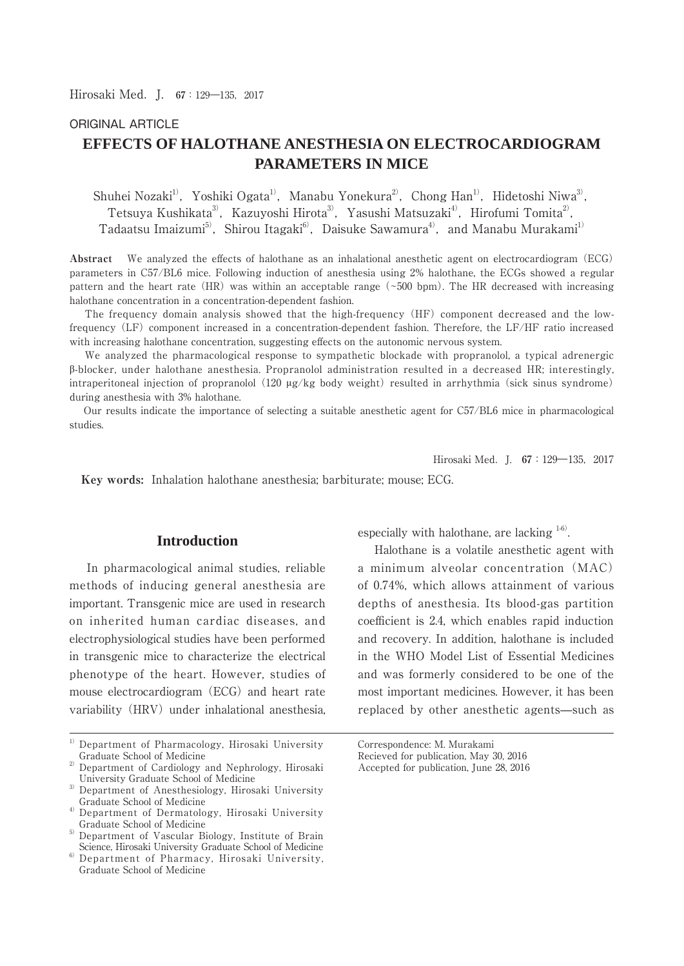# ORIGINAL ARTICLE

# **EFFECTS OF HALOTHANE ANESTHESIA ON ELECTROCARDIOGRAM PARAMETERS IN MICE**

Shuhei Nozaki<sup>1)</sup>, Yoshiki Ogata<sup>1</sup>, Manabu Yonekura<sup>2</sup>, Chong Han<sup>1)</sup>, Hidetoshi Niwa<sup>3)</sup>, Tetsuya Kushikata<sup>3)</sup>, Kazuyoshi Hirota<sup>3)</sup>, Yasushi Matsuzaki<sup>4)</sup>, Hirofumi Tomita<sup>2)</sup>, Tadaatsu Imaizumi<sup>5)</sup>, Shirou Itagaki<sup>6)</sup>, Daisuke Sawamura<sup>4)</sup>, and Manabu Murakami<sup>1)</sup>

**Abstract** We analyzed the effects of halothane as an inhalational anesthetic agent on electrocardiogram (ECG) parameters in C57/BL6 mice. Following induction of anesthesia using 2% halothane, the ECGs showed a regular pattern and the heart rate  $(HR)$  was within an acceptable range ( $\sim$ 500 bpm). The HR decreased with increasing halothane concentration in a concentration-dependent fashion.

 The frequency domain analysis showed that the high-frequency (HF) component decreased and the lowfrequency (LF) component increased in a concentration-dependent fashion. Therefore, the LF/HF ratio increased with increasing halothane concentration, suggesting effects on the autonomic nervous system.

 We analyzed the pharmacological response to sympathetic blockade with propranolol, a typical adrenergic ȕ-blocker, under halothane anesthesia. Propranolol administration resulted in a decreased HR; interestingly, intraperitoneal injection of propranolol (120  $\mu$ g/kg body weight) resulted in arrhythmia (sick sinus syndrome) during anesthesia with 3% halothane.

 Our results indicate the importance of selecting a suitable anesthetic agent for C57/BL6 mice in pharmacological studies.

Hirosaki Med. I. **67**: 129-135, 2017

 **Key words:** Inhalation halothane anesthesia; barbiturate; mouse; ECG.

# **Introduction**

 In pharmacological animal studies, reliable methods of inducing general anesthesia are important. Transgenic mice are used in research on inherited human cardiac diseases, and electrophysiological studies have been performed in transgenic mice to characterize the electrical phenotype of the heart. However, studies of mouse electrocardiogram (ECG) and heart rate variability (HRV) under inhalational anesthesia, especially with halothane, are lacking  $1-6$ .

 Halothane is a volatile anesthetic agent with a minimum alveolar concentration (MAC) of 0.74%, which allows attainment of various depths of anesthesia. Its blood-gas partition coefficient is 2.4, which enables rapid induction and recovery. In addition, halothane is included in the WHO Model List of Essential Medicines and was formerly considered to be one of the most important medicines. However, it has been replaced by other anesthetic agents̶such as

Correspondence: M. Murakami

<sup>&</sup>lt;sup>1)</sup> Department of Pharmacology, Hirosaki University Graduate School of Medicine

<sup>2)</sup> Department of Cardiology and Nephrology, Hirosaki University Graduate School of Medicine

<sup>&</sup>lt;sup>3)</sup> Department of Anesthesiology, Hirosaki University Graduate School of Medicine

<sup>4)</sup> Department of Dermatology, Hirosaki University Graduate School of Medicine

<sup>&</sup>lt;sup>5)</sup> Department of Vascular Biology, Institute of Brain Science, Hirosaki University Graduate School of Medicine

<sup>6)</sup> Department of Pharmacy, Hirosaki University, Graduate School of Medicine

Recieved for publication, May 30, 2016

Accepted for publication, June 28, 2016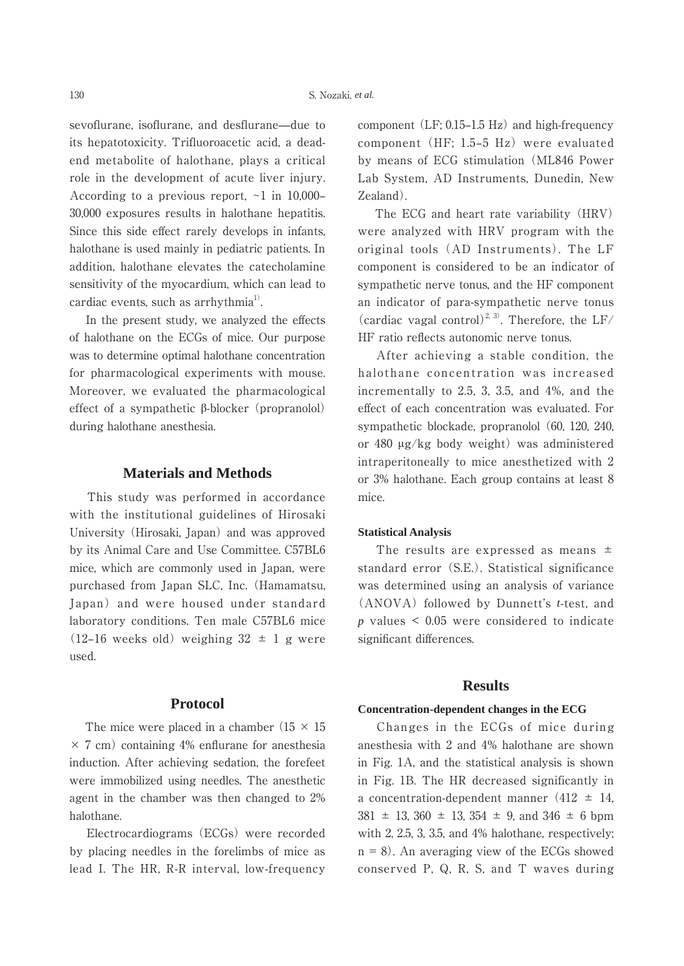sevoflurane, isoflurane, and desflurane—due to its hepatotoxicity. Trifluoroacetic acid, a deadend metabolite of halothane, plays a critical role in the development of acute liver injury. According to a previous report,  $\sim$ 1 in 10,000– 30,000 exposures results in halothane hepatitis. Since this side effect rarely develops in infants, halothane is used mainly in pediatric patients. In addition, halothane elevates the catecholamine sensitivity of the myocardium, which can lead to cardiac events, such as  $\archvthmi$ <sup>1)</sup>.

 In the present study, we analyzed the effects of halothane on the ECGs of mice. Our purpose was to determine optimal halothane concentration for pharmacological experiments with mouse. Moreover, we evaluated the pharmacological effect of a sympathetic  $\beta$ -blocker (propranolol) during halothane anesthesia.

# **Materials and Methods**

 This study was performed in accordance with the institutional guidelines of Hirosaki University (Hirosaki, Japan) and was approved by its Animal Care and Use Committee. C57BL6 mice, which are commonly used in Japan, were purchased from Japan SLC, Inc. (Hamamatsu, Japan) and were housed under standard laboratory conditions. Ten male C57BL6 mice  $(12-16$  weeks old) weighing  $32 \pm 1$  g were used.

# **Protocol**

The mice were placed in a chamber  $(15 \times 15)$  $\times$  7 cm) containing 4% enflurane for anesthesia induction. After achieving sedation, the forefeet were immobilized using needles. The anesthetic agent in the chamber was then changed to 2% halothane.

 Electrocardiograms (ECGs) were recorded by placing needles in the forelimbs of mice as lead I. The HR, R-R interval, low-frequency component  $(LF: 0.15-1.5 Hz)$  and high-frequency component (HF; 1.5-5 Hz) were evaluated by means of ECG stimulation (ML846 Power Lab System, AD Instruments, Dunedin, New Zealand).

 The ECG and heart rate variability (HRV) were analyzed with HRV program with the original tools (AD Instruments). The LF component is considered to be an indicator of sympathetic nerve tonus, and the HF component an indicator of para-sympathetic nerve tonus (cardiac vagal control)<sup>2, 3)</sup>. Therefore, the LF/ HF ratio reflects autonomic nerve tonus.

 After achieving a stable condition, the halothane concentration was increased incrementally to 2.5, 3, 3.5, and 4%, and the effect of each concentration was evaluated. For sympathetic blockade, propranolol (60, 120, 240, or 480  $\mu$ g/kg body weight) was administered intraperitoneally to mice anesthetized with 2 or 3% halothane. Each group contains at least 8 mice.

# **Statistical Analysis**

The results are expressed as means  $\pm$ standard error (S.E.). Statistical significance was determined using an analysis of variance (ANOVA) followed by Dunnett's *t*-test, and *p* values < 0.05 were considered to indicate significant differences.

### **Results**

#### **Concentration-dependent changes in the ECG**

 Changes in the ECGs of mice during anesthesia with 2 and 4% halothane are shown in Fig. 1A, and the statistical analysis is shown in Fig. 1B. The HR decreased significantly in a concentration-dependent manner  $(412 \pm 14,$  $381 \pm 13$ ,  $360 \pm 13$ ,  $354 \pm 9$ , and  $346 \pm 6$  bpm with 2, 2.5, 3, 3.5, and 4% halothane, respectively;  $n = 8$ ). An averaging view of the ECGs showed conserved P, Q, R, S, and T waves during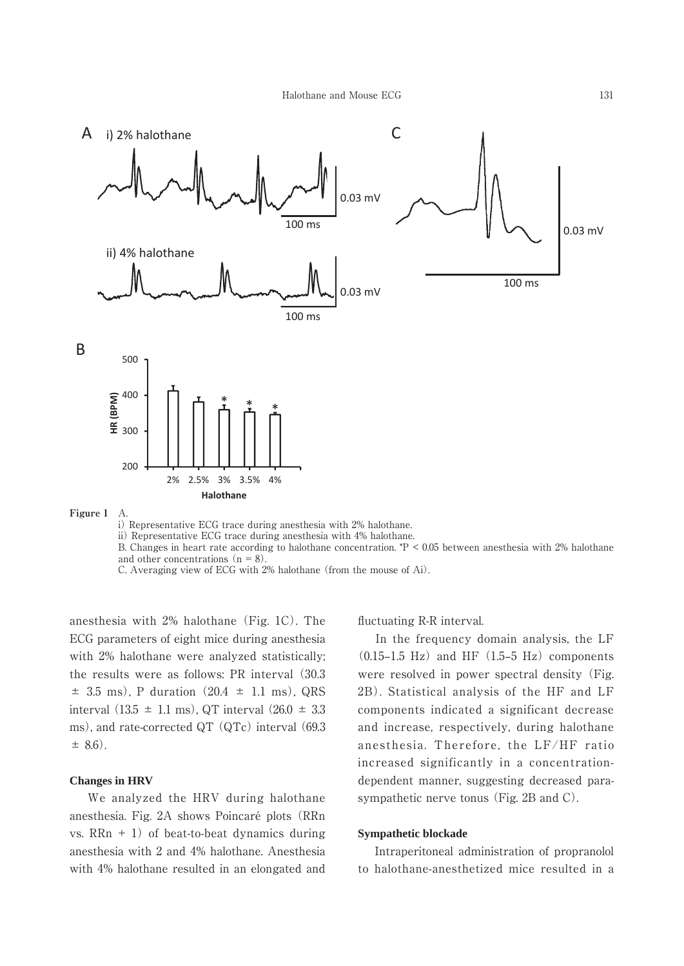

ii) Representative ECG trace during anesthesia with 4% halothane.

B. Changes in heart rate according to halothane concentration. \*P < 0.05 between anesthesia with 2% halothane and other concentrations  $(n = 8)$ .

C. Averaging view of ECG with 2% halothane (from the mouse of Ai).

anesthesia with 2% halothane (Fig. 1C). The ECG parameters of eight mice during anesthesia with 2% halothane were analyzed statistically; the results were as follows: PR interval (30.3  $\pm$  3.5 ms), P duration (20.4  $\pm$  1.1 ms), QRS interval  $(13.5 \pm 1.1 \text{ ms})$ , QT interval  $(26.0 \pm 3.3 \text{ s})$ ms), and rate-corrected QT (QTc) interval (69.3  $\pm$  8.6).

### **Changes in HRV**

 We analyzed the HRV during halothane anesthesia. Fig. 2A shows Poincaré plots (RRn vs.  $RRn + 1$ ) of beat-to-beat dynamics during anesthesia with 2 and 4% halothane. Anesthesia with 4% halothane resulted in an elongated and

#### fluctuating R-R interval.

 In the frequency domain analysis, the LF  $(0.15-1.5 \text{ Hz})$  and HF  $(1.5-5 \text{ Hz})$  components were resolved in power spectral density (Fig. 2B). Statistical analysis of the HF and LF components indicated a significant decrease and increase, respectively, during halothane anesthesia. Therefore, the LF/HF ratio increased significantly in a concentrationdependent manner, suggesting decreased parasympathetic nerve tonus (Fig. 2B and C).

### **Sympathetic blockade**

 Intraperitoneal administration of propranolol to halothane-anesthetized mice resulted in a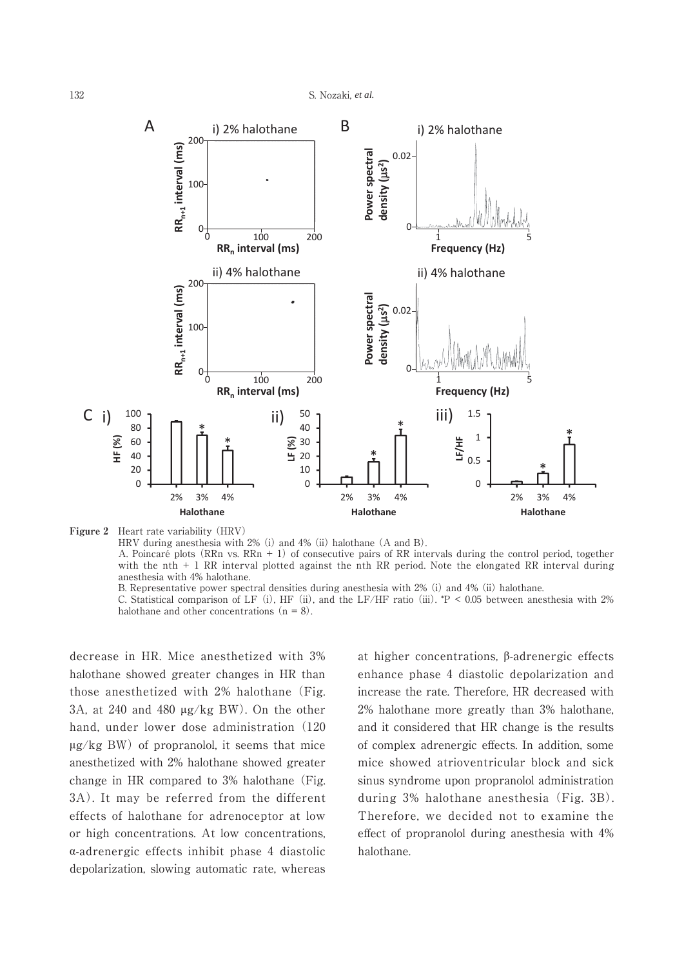

**Figure 2** Heart rate variability (HRV) HRV during anesthesia with 2% (i) and 4% (ii) halothane (A and B). A. Poincaré plots (RRn vs. RRn + 1) of consecutive pairs of RR intervals during the control period, together with the nth  $+ 1$  RR interval plotted against the nth RR period. Note the elongated RR interval during anesthesia with 4% halothane. B. Representative power spectral densities during anesthesia with 2% (i) and 4% (ii) halothane.

C. Statistical comparison of LF (i), HF (ii), and the LF/HF ratio (iii).  $*P < 0.05$  between anesthesia with 2% halothane and other concentrations  $(n = 8)$ .

decrease in HR. Mice anesthetized with 3% halothane showed greater changes in HR than those anesthetized with 2% halothane (Fig. 3A, at 240 and 480  $\mu$ g/kg BW). On the other hand, under lower dose administration (120  $\mu$ g/kg BW) of propranolol, it seems that mice anesthetized with 2% halothane showed greater change in HR compared to 3% halothane (Fig. 3A). It may be referred from the different effects of halothane for adrenoceptor at low or high concentrations. At low concentrations,  $\alpha$ -adrenergic effects inhibit phase 4 diastolic depolarization, slowing automatic rate, whereas at higher concentrations,  $\beta$ -adrenergic effects enhance phase 4 diastolic depolarization and increase the rate. Therefore, HR decreased with 2% halothane more greatly than 3% halothane, and it considered that HR change is the results of complex adrenergic effects. In addition, some mice showed atrioventricular block and sick sinus syndrome upon propranolol administration during 3% halothane anesthesia (Fig. 3B). Therefore, we decided not to examine the effect of propranolol during anesthesia with 4% halothane.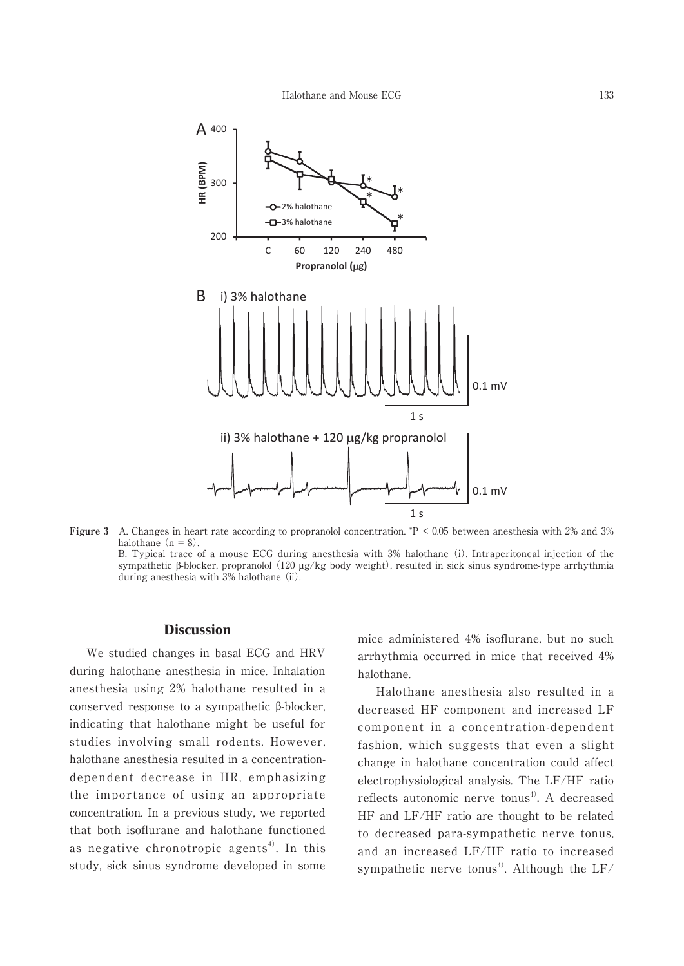

**Figure 3** A. Changes in heart rate according to propranolol concentration. \*P < 0.05 between anesthesia with 2% and 3% halothane  $(n = 8)$ . B. Typical trace of a mouse ECG during anesthesia with 3% halothane (i). Intraperitoneal injection of the

sympathetic  $\beta$ -blocker, propranolol (120 µg/kg body weight), resulted in sick sinus syndrome-type arrhythmia during anesthesia with 3% halothane (ii).

# **Discussion**

 We studied changes in basal ECG and HRV during halothane anesthesia in mice. Inhalation anesthesia using 2% halothane resulted in a conserved response to a sympathetic  $\beta$ -blocker, indicating that halothane might be useful for studies involving small rodents. However, halothane anesthesia resulted in a concentrationdependent decrease in HR, emphasizing the importance of using an appropriate concentration. In a previous study, we reported that both isoflurane and halothane functioned as negative chronotropic agents<sup>4)</sup>. In this study, sick sinus syndrome developed in some

mice administered 4% isoflurane, but no such arrhythmia occurred in mice that received 4% halothane.

 Halothane anesthesia also resulted in a decreased HF component and increased LF component in a concentration-dependent fashion, which suggests that even a slight change in halothane concentration could affect electrophysiological analysis. The LF/HF ratio reflects autonomic nerve tonus<sup>4)</sup>. A decreased HF and LF/HF ratio are thought to be related to decreased para-sympathetic nerve tonus, and an increased LF/HF ratio to increased sympathetic nerve tonus<sup>4)</sup>. Although the  $LF/$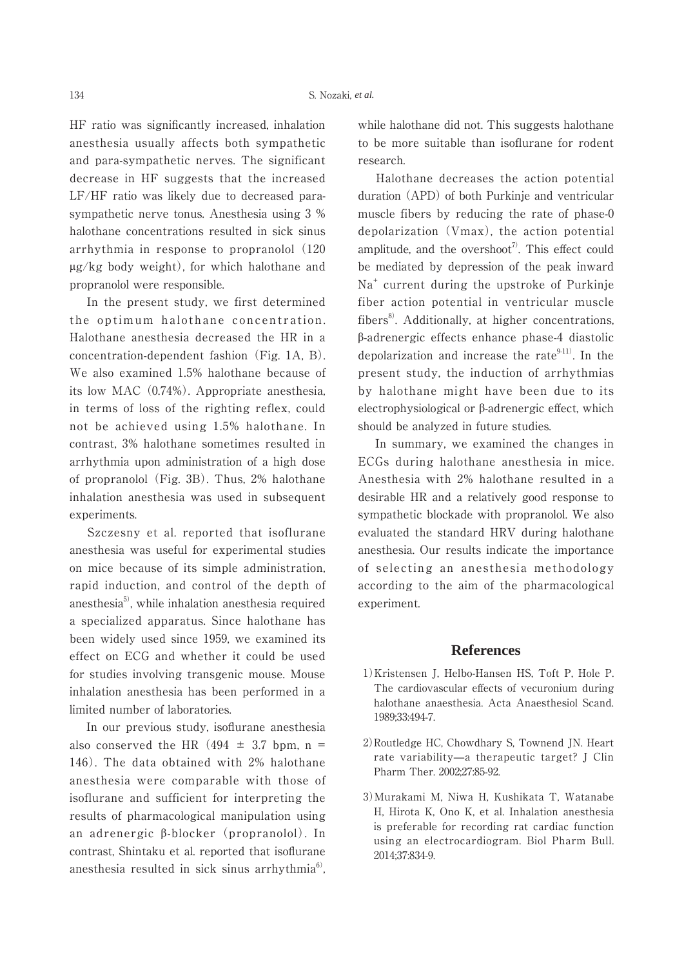HF ratio was significantly increased, inhalation anesthesia usually affects both sympathetic and para-sympathetic nerves. The significant decrease in HF suggests that the increased LF/HF ratio was likely due to decreased parasympathetic nerve tonus. Anesthesia using 3 % halothane concentrations resulted in sick sinus arrhythmia in response to propranolol (120  $\mu$ g/kg body weight), for which halothane and propranolol were responsible.

 In the present study, we first determined the optimum halothane concentration. Halothane anesthesia decreased the HR in a concentration-dependent fashion (Fig. 1A, B). We also examined 1.5% halothane because of its low MAC (0.74%). Appropriate anesthesia, in terms of loss of the righting reflex, could not be achieved using 1.5% halothane. In contrast, 3% halothane sometimes resulted in arrhythmia upon administration of a high dose of propranolol (Fig. 3B). Thus, 2% halothane inhalation anesthesia was used in subsequent experiments.

 Szczesny et al. reported that isoflurane anesthesia was useful for experimental studies on mice because of its simple administration, rapid induction, and control of the depth of anesthesia $5$ , while inhalation anesthesia required a specialized apparatus. Since halothane has been widely used since 1959, we examined its effect on ECG and whether it could be used for studies involving transgenic mouse. Mouse inhalation anesthesia has been performed in a limited number of laboratories.

 In our previous study, isoflurane anesthesia also conserved the HR  $(494 \pm 3.7)$  bpm, n = 146). The data obtained with 2% halothane anesthesia were comparable with those of isoflurane and sufficient for interpreting the results of pharmacological manipulation using an adrenergic  $\beta$ -blocker (propranolol). In contrast, Shintaku et al. reported that isoflurane anesthesia resulted in sick sinus arrhythmia $6$ . while halothane did not. This suggests halothane to be more suitable than isoflurane for rodent research.

 Halothane decreases the action potential duration (APD) of both Purkinje and ventricular muscle fibers by reducing the rate of phase-0 depolarization (Vmax), the action potential amplitude, and the overshoot<sup>7</sup>. This effect could be mediated by depression of the peak inward Na<sup>+</sup> current during the upstroke of Purkinje fiber action potential in ventricular muscle fibers $8$ . Additionally, at higher concentrations, ȕ-adrenergic effects enhance phase-4 diastolic depolarization and increase the rate $9-11$ . In the present study, the induction of arrhythmias by halothane might have been due to its  $electrophysiological or  $\beta$ -adrenergic effect, which$ should be analyzed in future studies.

 In summary, we examined the changes in ECGs during halothane anesthesia in mice. Anesthesia with 2% halothane resulted in a desirable HR and a relatively good response to sympathetic blockade with propranolol. We also evaluated the standard HRV during halothane anesthesia. Our results indicate the importance of selecting an anesthesia methodology according to the aim of the pharmacological experiment.

#### **References**

- 1)Kristensen J, Helbo-Hansen HS, Toft P, Hole P. The cardiovascular effects of vecuronium during halothane anaesthesia. Acta Anaesthesiol Scand. 1989;33:494-7.
- 2)Routledge HC, Chowdhary S, Townend JN. Heart rate variability—a therapeutic target? J Clin Pharm Ther. 2002;27:85-92.
- 3)Murakami M, Niwa H, Kushikata T, Watanabe H, Hirota K, Ono K, et al. Inhalation anesthesia is preferable for recording rat cardiac function using an electrocardiogram. Biol Pharm Bull. 2014;37:834-9.